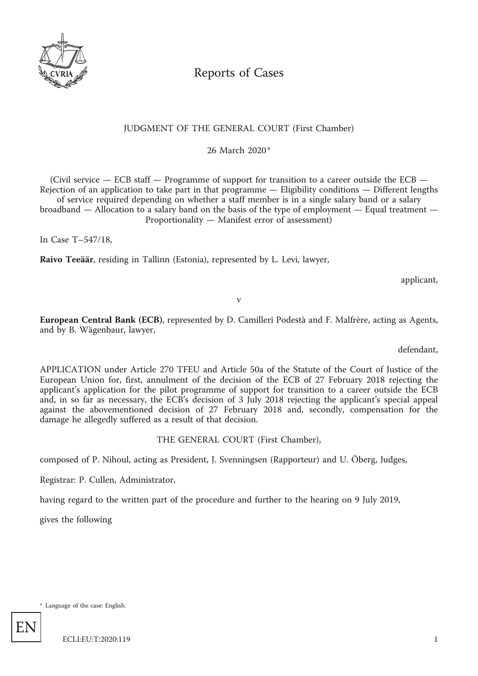

# Reports of Cases

# JUDGMENT OF THE GENERAL COURT (First Chamber)

26 March 2020\*

(Civil service — ECB staff — Programme of support for transition to a career outside the ECB — Rejection of an application to take part in that programme — Eligibility conditions — Different lengths of service required depending on whether a staff member is in a single salary band or a salary broadband — Allocation to a salary band on the basis of the type of employment — Equal treatment — Proportionality — Manifest error of assessment)

In Case T–547/18,

**Raivo Teeäär**, residing in Tallinn (Estonia), represented by L. Levi, lawyer,

applicant,

v

**European Central Bank (ECB)**, represented by D. Camilleri Podestà and F. Malfrère, acting as Agents, and by B. Wägenbaur, lawyer,

defendant,

APPLICATION under Article 270 TFEU and Article 50a of the Statute of the Court of Justice of the European Union for, first, annulment of the decision of the ECB of 27 February 2018 rejecting the applicant's application for the pilot programme of support for transition to a career outside the ECB and, in so far as necessary, the ECB's decision of 3 July 2018 rejecting the applicant's special appeal against the abovementioned decision of 27 February 2018 and, secondly, compensation for the damage he allegedly suffered as a result of that decision.

## THE GENERAL COURT (First Chamber),

composed of P. Nihoul, acting as President, J. Svenningsen (Rapporteur) and U. Öberg, Judges,

Registrar: P. Cullen, Administrator,

having regard to the written part of the procedure and further to the hearing on 9 July 2019,

gives the following

\* Language of the case: English.

EN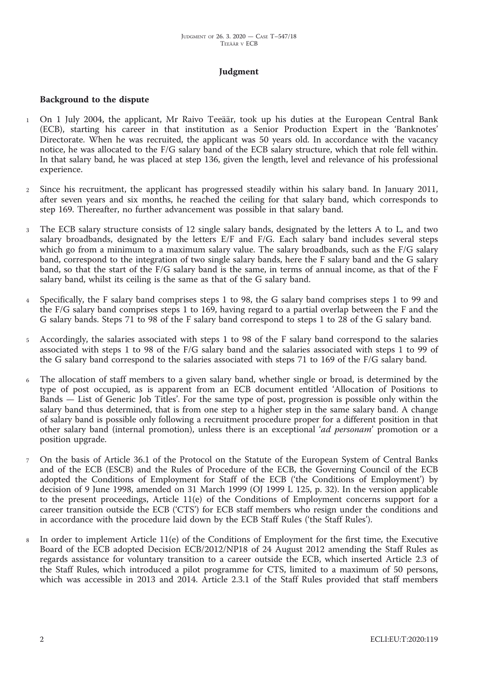# **Judgment**

#### **Background to the dispute**

- <sup>1</sup> On 1 July 2004, the applicant, Mr Raivo Teeäär, took up his duties at the European Central Bank (ECB), starting his career in that institution as a Senior Production Expert in the 'Banknotes' Directorate. When he was recruited, the applicant was 50 years old. In accordance with the vacancy notice, he was allocated to the F/G salary band of the ECB salary structure, which that role fell within. In that salary band, he was placed at step 136, given the length, level and relevance of his professional experience.
- <sup>2</sup> Since his recruitment, the applicant has progressed steadily within his salary band. In January 2011, after seven years and six months, he reached the ceiling for that salary band, which corresponds to step 169. Thereafter, no further advancement was possible in that salary band.
- The ECB salary structure consists of 12 single salary bands, designated by the letters A to L, and two salary broadbands, designated by the letters E/F and F/G. Each salary band includes several steps which go from a minimum to a maximum salary value. The salary broadbands, such as the F/G salary band, correspond to the integration of two single salary bands, here the F salary band and the G salary band, so that the start of the F/G salary band is the same, in terms of annual income, as that of the F salary band, whilst its ceiling is the same as that of the G salary band.
- <sup>4</sup> Specifically, the F salary band comprises steps 1 to 98, the G salary band comprises steps 1 to 99 and the F/G salary band comprises steps 1 to 169, having regard to a partial overlap between the F and the G salary bands. Steps 71 to 98 of the F salary band correspond to steps 1 to 28 of the G salary band.
- <sup>5</sup> Accordingly, the salaries associated with steps 1 to 98 of the F salary band correspond to the salaries associated with steps 1 to 98 of the F/G salary band and the salaries associated with steps 1 to 99 of the G salary band correspond to the salaries associated with steps 71 to 169 of the F/G salary band.
- <sup>6</sup> The allocation of staff members to a given salary band, whether single or broad, is determined by the type of post occupied, as is apparent from an ECB document entitled 'Allocation of Positions to Bands — List of Generic Job Titles'. For the same type of post, progression is possible only within the salary band thus determined, that is from one step to a higher step in the same salary band. A change of salary band is possible only following a recruitment procedure proper for a different position in that other salary band (internal promotion), unless there is an exceptional '*ad personam*' promotion or a position upgrade.
- <sup>7</sup> On the basis of Article 36.1 of the Protocol on the Statute of the European System of Central Banks and of the ECB (ESCB) and the Rules of Procedure of the ECB, the Governing Council of the ECB adopted the Conditions of Employment for Staff of the ECB ('the Conditions of Employment') by decision of 9 June 1998, amended on 31 March 1999 (OJ 1999 L 125, p. 32). In the version applicable to the present proceedings, Article 11(e) of the Conditions of Employment concerns support for a career transition outside the ECB ('CTS') for ECB staff members who resign under the conditions and in accordance with the procedure laid down by the ECB Staff Rules ('the Staff Rules').
- <sup>8</sup> In order to implement Article 11(e) of the Conditions of Employment for the first time, the Executive Board of the ECB adopted Decision ECB/2012/NP18 of 24 August 2012 amending the Staff Rules as regards assistance for voluntary transition to a career outside the ECB, which inserted Article 2.3 of the Staff Rules, which introduced a pilot programme for CTS, limited to a maximum of 50 persons, which was accessible in 2013 and 2014. Article 2.3.1 of the Staff Rules provided that staff members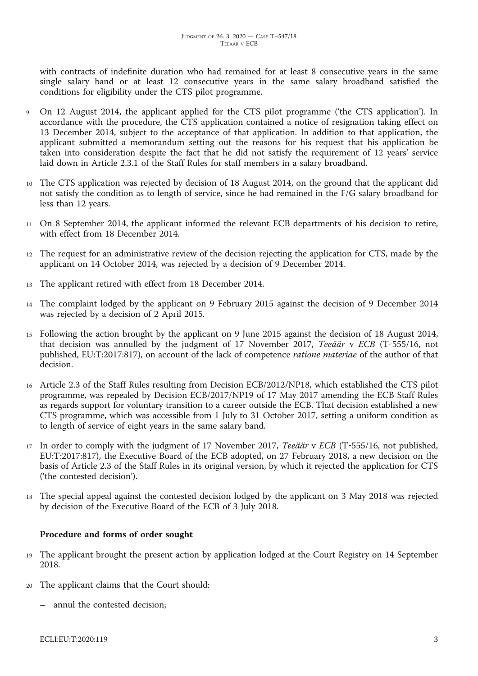with contracts of indefinite duration who had remained for at least 8 consecutive years in the same single salary band or at least 12 consecutive years in the same salary broadband satisfied the conditions for eligibility under the CTS pilot programme.

- <sup>9</sup> On 12 August 2014, the applicant applied for the CTS pilot programme ('the CTS application'). In accordance with the procedure, the CTS application contained a notice of resignation taking effect on 13 December 2014, subject to the acceptance of that application. In addition to that application, the applicant submitted a memorandum setting out the reasons for his request that his application be taken into consideration despite the fact that he did not satisfy the requirement of 12 years' service laid down in Article 2.3.1 of the Staff Rules for staff members in a salary broadband.
- <sup>10</sup> The CTS application was rejected by decision of 18 August 2014, on the ground that the applicant did not satisfy the condition as to length of service, since he had remained in the F/G salary broadband for less than 12 years.
- <sup>11</sup> On 8 September 2014, the applicant informed the relevant ECB departments of his decision to retire, with effect from 18 December 2014.
- <sup>12</sup> The request for an administrative review of the decision rejecting the application for CTS, made by the applicant on 14 October 2014, was rejected by a decision of 9 December 2014.
- <sup>13</sup> The applicant retired with effect from 18 December 2014.
- <sup>14</sup> The complaint lodged by the applicant on 9 February 2015 against the decision of 9 December 2014 was rejected by a decision of 2 April 2015.
- <sup>15</sup> Following the action brought by the applicant on 9 June 2015 against the decision of 18 August 2014, that decision was annulled by the judgment of 17 November 2017, *Teeäär* v *ECB* (T-555/16, not published, EU:T:2017:817), on account of the lack of competence *ratione materiae* of the author of that decision.
- <sup>16</sup> Article 2.3 of the Staff Rules resulting from Decision ECB/2012/NP18, which established the CTS pilot programme, was repealed by Decision ECB/2017/NP19 of 17 May 2017 amending the ECB Staff Rules as regards support for voluntary transition to a career outside the ECB. That decision established a new CTS programme, which was accessible from 1 July to 31 October 2017, setting a uniform condition as to length of service of eight years in the same salary band.
- <sup>17</sup> In order to comply with the judgment of 17 November 2017, *Teeäär* v *ECB* (T-555/16, not published, EU:T:2017:817), the Executive Board of the ECB adopted, on 27 February 2018, a new decision on the basis of Article 2.3 of the Staff Rules in its original version, by which it rejected the application for CTS ('the contested decision').
- <sup>18</sup> The special appeal against the contested decision lodged by the applicant on 3 May 2018 was rejected by decision of the Executive Board of the ECB of 3 July 2018.

## **Procedure and forms of order sought**

- <sup>19</sup> The applicant brought the present action by application lodged at the Court Registry on 14 September 2018.
- <sup>20</sup> The applicant claims that the Court should:
	- annul the contested decision;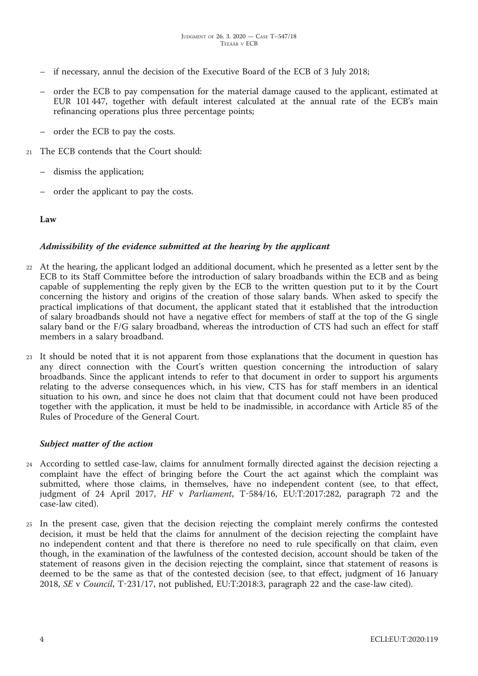- if necessary, annul the decision of the Executive Board of the ECB of 3 July 2018;
- order the ECB to pay compensation for the material damage caused to the applicant, estimated at EUR 101 447, together with default interest calculated at the annual rate of the ECB's main refinancing operations plus three percentage points;
- order the ECB to pay the costs.
- <sup>21</sup> The ECB contends that the Court should:
	- dismiss the application;
	- order the applicant to pay the costs.

#### **Law**

#### *Admissibility of the evidence submitted at the hearing by the applicant*

- <sup>22</sup> At the hearing, the applicant lodged an additional document, which he presented as a letter sent by the ECB to its Staff Committee before the introduction of salary broadbands within the ECB and as being capable of supplementing the reply given by the ECB to the written question put to it by the Court concerning the history and origins of the creation of those salary bands. When asked to specify the practical implications of that document, the applicant stated that it established that the introduction of salary broadbands should not have a negative effect for members of staff at the top of the G single salary band or the F/G salary broadband, whereas the introduction of CTS had such an effect for staff members in a salary broadband.
- <sup>23</sup> It should be noted that it is not apparent from those explanations that the document in question has any direct connection with the Court's written question concerning the introduction of salary broadbands. Since the applicant intends to refer to that document in order to support his arguments relating to the adverse consequences which, in his view, CTS has for staff members in an identical situation to his own, and since he does not claim that that document could not have been produced together with the application, it must be held to be inadmissible, in accordance with Article 85 of the Rules of Procedure of the General Court.

#### *Subject matter of the action*

- <sup>24</sup> According to settled case-law, claims for annulment formally directed against the decision rejecting a complaint have the effect of bringing before the Court the act against which the complaint was submitted, where those claims, in themselves, have no independent content (see, to that effect, judgment of 24 April 2017, *HF* v *Parliament*, T-584/16, EU:T:2017:282, paragraph 72 and the case-law cited).
- <sup>25</sup> In the present case, given that the decision rejecting the complaint merely confirms the contested decision, it must be held that the claims for annulment of the decision rejecting the complaint have no independent content and that there is therefore no need to rule specifically on that claim, even though, in the examination of the lawfulness of the contested decision, account should be taken of the statement of reasons given in the decision rejecting the complaint, since that statement of reasons is deemed to be the same as that of the contested decision (see, to that effect, judgment of 16 January 2018, *SE* v *Council*, T-231/17, not published, EU:T:2018:3, paragraph 22 and the case-law cited).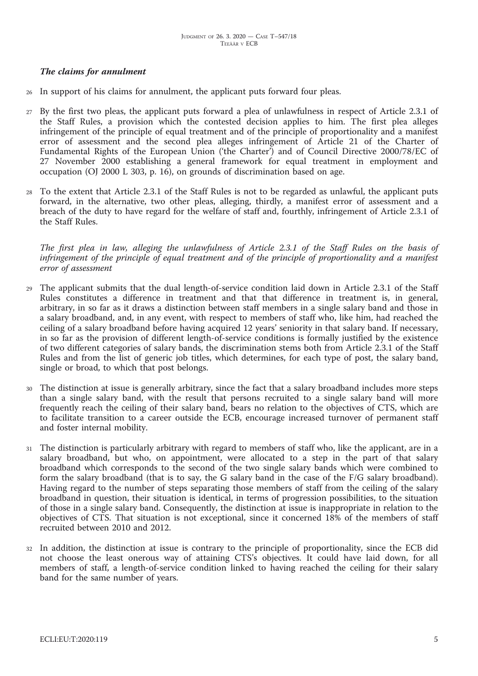# *The claims for annulment*

- In support of his claims for annulment, the applicant puts forward four pleas.
- <sup>27</sup> By the first two pleas, the applicant puts forward a plea of unlawfulness in respect of Article 2.3.1 of the Staff Rules, a provision which the contested decision applies to him. The first plea alleges infringement of the principle of equal treatment and of the principle of proportionality and a manifest error of assessment and the second plea alleges infringement of Article 21 of the Charter of Fundamental Rights of the European Union ('the Charter') and of Council Directive 2000/78/EC of 27 November 2000 establishing a general framework for equal treatment in employment and occupation (OJ 2000 L 303, p. 16), on grounds of discrimination based on age.
- <sup>28</sup> To the extent that Article 2.3.1 of the Staff Rules is not to be regarded as unlawful, the applicant puts forward, in the alternative, two other pleas, alleging, thirdly, a manifest error of assessment and a breach of the duty to have regard for the welfare of staff and, fourthly, infringement of Article 2.3.1 of the Staff Rules.

The first plea in law, alleging the unlawfulness of Article 2.3.1 of the Staff Rules on the basis of *infringement of the principle of equal treatment and of the principle of proportionality and a manifest error of assessment*

- The applicant submits that the dual length-of-service condition laid down in Article 2.3.1 of the Staff Rules constitutes a difference in treatment and that that difference in treatment is, in general, arbitrary, in so far as it draws a distinction between staff members in a single salary band and those in a salary broadband, and, in any event, with respect to members of staff who, like him, had reached the ceiling of a salary broadband before having acquired 12 years' seniority in that salary band. If necessary, in so far as the provision of different length-of-service conditions is formally justified by the existence of two different categories of salary bands, the discrimination stems both from Article 2.3.1 of the Staff Rules and from the list of generic job titles, which determines, for each type of post, the salary band, single or broad, to which that post belongs.
- <sup>30</sup> The distinction at issue is generally arbitrary, since the fact that a salary broadband includes more steps than a single salary band, with the result that persons recruited to a single salary band will more frequently reach the ceiling of their salary band, bears no relation to the objectives of CTS, which are to facilitate transition to a career outside the ECB, encourage increased turnover of permanent staff and foster internal mobility.
- The distinction is particularly arbitrary with regard to members of staff who, like the applicant, are in a salary broadband, but who, on appointment, were allocated to a step in the part of that salary broadband which corresponds to the second of the two single salary bands which were combined to form the salary broadband (that is to say, the G salary band in the case of the F/G salary broadband). Having regard to the number of steps separating those members of staff from the ceiling of the salary broadband in question, their situation is identical, in terms of progression possibilities, to the situation of those in a single salary band. Consequently, the distinction at issue is inappropriate in relation to the objectives of CTS. That situation is not exceptional, since it concerned 18% of the members of staff recruited between 2010 and 2012.
- <sup>32</sup> In addition, the distinction at issue is contrary to the principle of proportionality, since the ECB did not choose the least onerous way of attaining CTS's objectives. It could have laid down, for all members of staff, a length-of-service condition linked to having reached the ceiling for their salary band for the same number of years.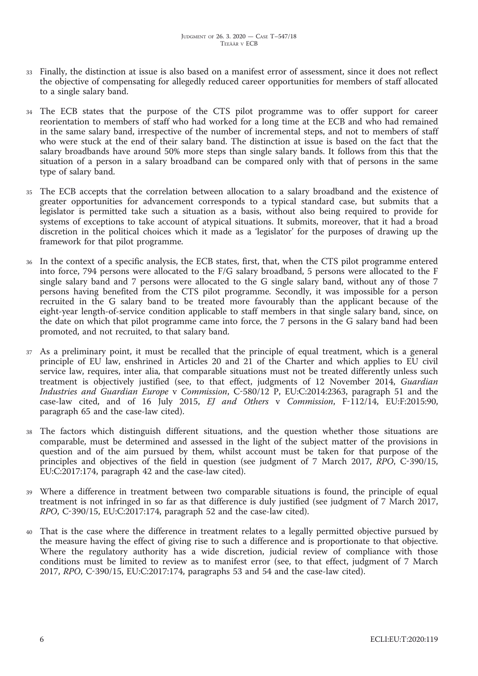- <sup>33</sup> Finally, the distinction at issue is also based on a manifest error of assessment, since it does not reflect the objective of compensating for allegedly reduced career opportunities for members of staff allocated to a single salary band.
- <sup>34</sup> The ECB states that the purpose of the CTS pilot programme was to offer support for career reorientation to members of staff who had worked for a long time at the ECB and who had remained in the same salary band, irrespective of the number of incremental steps, and not to members of staff who were stuck at the end of their salary band. The distinction at issue is based on the fact that the salary broadbands have around 50% more steps than single salary bands. It follows from this that the situation of a person in a salary broadband can be compared only with that of persons in the same type of salary band.
- <sup>35</sup> The ECB accepts that the correlation between allocation to a salary broadband and the existence of greater opportunities for advancement corresponds to a typical standard case, but submits that a legislator is permitted take such a situation as a basis, without also being required to provide for systems of exceptions to take account of atypical situations. It submits, moreover, that it had a broad discretion in the political choices which it made as a 'legislator' for the purposes of drawing up the framework for that pilot programme.
- <sup>36</sup> In the context of a specific analysis, the ECB states, first, that, when the CTS pilot programme entered into force, 794 persons were allocated to the F/G salary broadband, 5 persons were allocated to the F single salary band and 7 persons were allocated to the G single salary band, without any of those 7 persons having benefited from the CTS pilot programme. Secondly, it was impossible for a person recruited in the G salary band to be treated more favourably than the applicant because of the eight-year length-of-service condition applicable to staff members in that single salary band, since, on the date on which that pilot programme came into force, the 7 persons in the G salary band had been promoted, and not recruited, to that salary band.
- <sup>37</sup> As a preliminary point, it must be recalled that the principle of equal treatment, which is a general principle of EU law, enshrined in Articles 20 and 21 of the Charter and which applies to EU civil service law, requires, inter alia, that comparable situations must not be treated differently unless such treatment is objectively justified (see, to that effect, judgments of 12 November 2014, *Guardian Industries and Guardian Europe* v *Commission*, C-580/12 P, EU:C:2014:2363, paragraph 51 and the case-law cited, and of 16 July 2015, *EJ and Others* v *Commission*, F-112/14, EU:F:2015:90, paragraph 65 and the case-law cited).
- <sup>38</sup> The factors which distinguish different situations, and the question whether those situations are comparable, must be determined and assessed in the light of the subject matter of the provisions in question and of the aim pursued by them, whilst account must be taken for that purpose of the principles and objectives of the field in question (see judgment of 7 March 2017, *RPO*, C-390/15, EU:C:2017:174, paragraph 42 and the case-law cited).
- <sup>39</sup> Where a difference in treatment between two comparable situations is found, the principle of equal treatment is not infringed in so far as that difference is duly justified (see judgment of 7 March 2017, *RPO*, C-390/15, EU:C:2017:174, paragraph 52 and the case-law cited).
- <sup>40</sup> That is the case where the difference in treatment relates to a legally permitted objective pursued by the measure having the effect of giving rise to such a difference and is proportionate to that objective. Where the regulatory authority has a wide discretion, judicial review of compliance with those conditions must be limited to review as to manifest error (see, to that effect, judgment of 7 March 2017, *RPO*, C-390/15, EU:C:2017:174, paragraphs 53 and 54 and the case-law cited).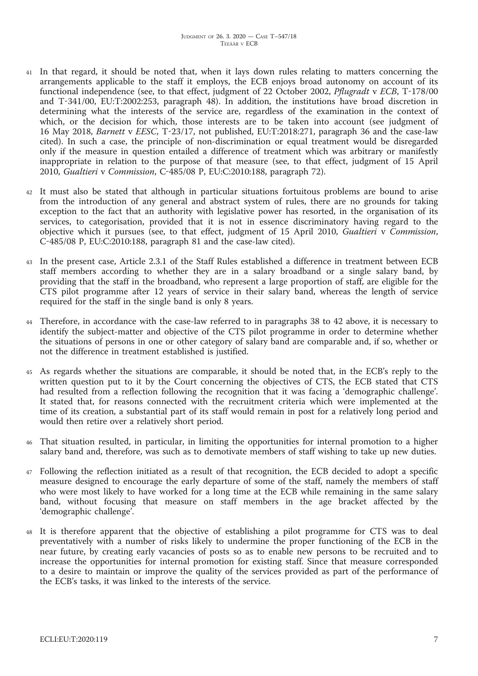- In that regard, it should be noted that, when it lays down rules relating to matters concerning the arrangements applicable to the staff it employs, the ECB enjoys broad autonomy on account of its functional independence (see, to that effect, judgment of 22 October 2002, *Pflugradt* v *ECB*, T-178/00 and T-341/00, EU:T:2002:253, paragraph 48). In addition, the institutions have broad discretion in determining what the interests of the service are, regardless of the examination in the context of which, or the decision for which, those interests are to be taken into account (see judgment of 16 May 2018, *Barnett* v *EESC*, T-23/17, not published, EU:T:2018:271, paragraph 36 and the case-law cited). In such a case, the principle of non-discrimination or equal treatment would be disregarded only if the measure in question entailed a difference of treatment which was arbitrary or manifestly inappropriate in relation to the purpose of that measure (see, to that effect, judgment of 15 April 2010, *Gualtieri* v *Commission*, C-485/08 P, EU:C:2010:188, paragraph 72).
- <sup>42</sup> It must also be stated that although in particular situations fortuitous problems are bound to arise from the introduction of any general and abstract system of rules, there are no grounds for taking exception to the fact that an authority with legislative power has resorted, in the organisation of its services, to categorisation, provided that it is not in essence discriminatory having regard to the objective which it pursues (see, to that effect, judgment of 15 April 2010, *Gualtieri* v *Commission*, C-485/08 P, EU:C:2010:188, paragraph 81 and the case-law cited).
- <sup>43</sup> In the present case, Article 2.3.1 of the Staff Rules established a difference in treatment between ECB staff members according to whether they are in a salary broadband or a single salary band, by providing that the staff in the broadband, who represent a large proportion of staff, are eligible for the CTS pilot programme after 12 years of service in their salary band, whereas the length of service required for the staff in the single band is only 8 years.
- Therefore, in accordance with the case-law referred to in paragraphs 38 to 42 above, it is necessary to identify the subject-matter and objective of the CTS pilot programme in order to determine whether the situations of persons in one or other category of salary band are comparable and, if so, whether or not the difference in treatment established is justified.
- <sup>45</sup> As regards whether the situations are comparable, it should be noted that, in the ECB's reply to the written question put to it by the Court concerning the objectives of CTS, the ECB stated that CTS had resulted from a reflection following the recognition that it was facing a 'demographic challenge'. It stated that, for reasons connected with the recruitment criteria which were implemented at the time of its creation, a substantial part of its staff would remain in post for a relatively long period and would then retire over a relatively short period.
- <sup>46</sup> That situation resulted, in particular, in limiting the opportunities for internal promotion to a higher salary band and, therefore, was such as to demotivate members of staff wishing to take up new duties.
- <sup>47</sup> Following the reflection initiated as a result of that recognition, the ECB decided to adopt a specific measure designed to encourage the early departure of some of the staff, namely the members of staff who were most likely to have worked for a long time at the ECB while remaining in the same salary band, without focusing that measure on staff members in the age bracket affected by the 'demographic challenge'.
- <sup>48</sup> It is therefore apparent that the objective of establishing a pilot programme for CTS was to deal preventatively with a number of risks likely to undermine the proper functioning of the ECB in the near future, by creating early vacancies of posts so as to enable new persons to be recruited and to increase the opportunities for internal promotion for existing staff. Since that measure corresponded to a desire to maintain or improve the quality of the services provided as part of the performance of the ECB's tasks, it was linked to the interests of the service.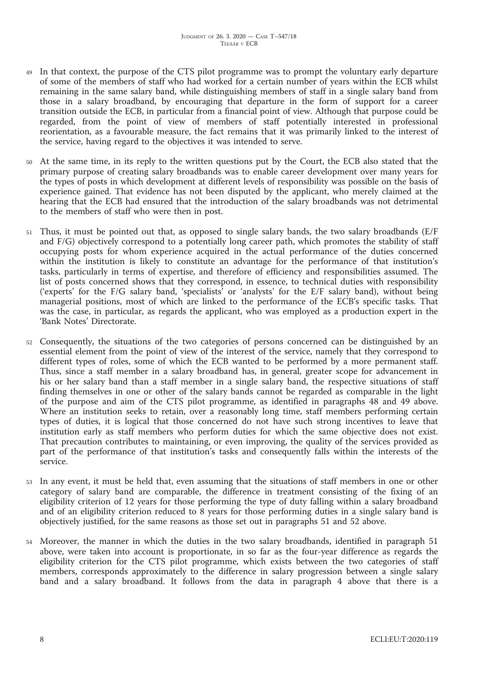- In that context, the purpose of the CTS pilot programme was to prompt the voluntary early departure of some of the members of staff who had worked for a certain number of years within the ECB whilst remaining in the same salary band, while distinguishing members of staff in a single salary band from those in a salary broadband, by encouraging that departure in the form of support for a career transition outside the ECB, in particular from a financial point of view. Although that purpose could be regarded, from the point of view of members of staff potentially interested in professional reorientation, as a favourable measure, the fact remains that it was primarily linked to the interest of the service, having regard to the objectives it was intended to serve.
- <sup>50</sup> At the same time, in its reply to the written questions put by the Court, the ECB also stated that the primary purpose of creating salary broadbands was to enable career development over many years for the types of posts in which development at different levels of responsibility was possible on the basis of experience gained. That evidence has not been disputed by the applicant, who merely claimed at the hearing that the ECB had ensured that the introduction of the salary broadbands was not detrimental to the members of staff who were then in post.
- Thus, it must be pointed out that, as opposed to single salary bands, the two salary broadbands (E/F and F/G) objectively correspond to a potentially long career path, which promotes the stability of staff occupying posts for whom experience acquired in the actual performance of the duties concerned within the institution is likely to constitute an advantage for the performance of that institution's tasks, particularly in terms of expertise, and therefore of efficiency and responsibilities assumed. The list of posts concerned shows that they correspond, in essence, to technical duties with responsibility ('experts' for the F/G salary band, 'specialists' or 'analysts' for the E/F salary band), without being managerial positions, most of which are linked to the performance of the ECB's specific tasks. That was the case, in particular, as regards the applicant, who was employed as a production expert in the 'Bank Notes' Directorate.
- <sup>52</sup> Consequently, the situations of the two categories of persons concerned can be distinguished by an essential element from the point of view of the interest of the service, namely that they correspond to different types of roles, some of which the ECB wanted to be performed by a more permanent staff. Thus, since a staff member in a salary broadband has, in general, greater scope for advancement in his or her salary band than a staff member in a single salary band, the respective situations of staff finding themselves in one or other of the salary bands cannot be regarded as comparable in the light of the purpose and aim of the CTS pilot programme, as identified in paragraphs 48 and 49 above. Where an institution seeks to retain, over a reasonably long time, staff members performing certain types of duties, it is logical that those concerned do not have such strong incentives to leave that institution early as staff members who perform duties for which the same objective does not exist. That precaution contributes to maintaining, or even improving, the quality of the services provided as part of the performance of that institution's tasks and consequently falls within the interests of the service.
- <sup>53</sup> In any event, it must be held that, even assuming that the situations of staff members in one or other category of salary band are comparable, the difference in treatment consisting of the fixing of an eligibility criterion of 12 years for those performing the type of duty falling within a salary broadband and of an eligibility criterion reduced to 8 years for those performing duties in a single salary band is objectively justified, for the same reasons as those set out in paragraphs 51 and 52 above.
- <sup>54</sup> Moreover, the manner in which the duties in the two salary broadbands, identified in paragraph 51 above, were taken into account is proportionate, in so far as the four-year difference as regards the eligibility criterion for the CTS pilot programme, which exists between the two categories of staff members, corresponds approximately to the difference in salary progression between a single salary band and a salary broadband. It follows from the data in paragraph 4 above that there is a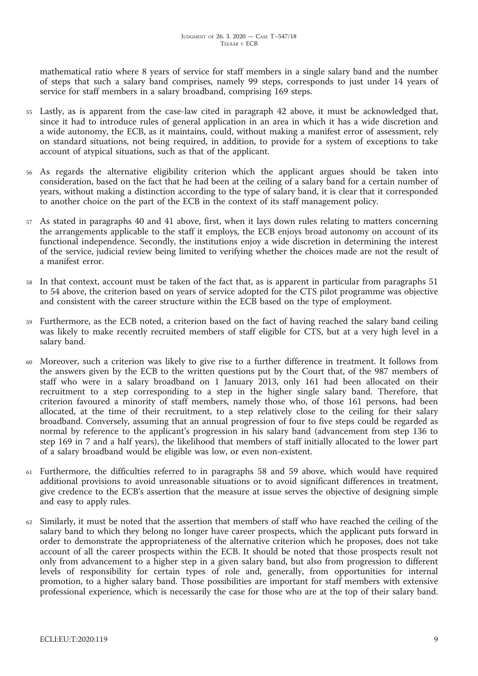mathematical ratio where 8 years of service for staff members in a single salary band and the number of steps that such a salary band comprises, namely 99 steps, corresponds to just under 14 years of service for staff members in a salary broadband, comprising 169 steps.

- <sup>55</sup> Lastly, as is apparent from the case-law cited in paragraph 42 above, it must be acknowledged that, since it had to introduce rules of general application in an area in which it has a wide discretion and a wide autonomy, the ECB, as it maintains, could, without making a manifest error of assessment, rely on standard situations, not being required, in addition, to provide for a system of exceptions to take account of atypical situations, such as that of the applicant.
- <sup>56</sup> As regards the alternative eligibility criterion which the applicant argues should be taken into consideration, based on the fact that he had been at the ceiling of a salary band for a certain number of years, without making a distinction according to the type of salary band, it is clear that it corresponded to another choice on the part of the ECB in the context of its staff management policy.
- <sup>57</sup> As stated in paragraphs 40 and 41 above, first, when it lays down rules relating to matters concerning the arrangements applicable to the staff it employs, the ECB enjoys broad autonomy on account of its functional independence. Secondly, the institutions enjoy a wide discretion in determining the interest of the service, judicial review being limited to verifying whether the choices made are not the result of a manifest error.
- In that context, account must be taken of the fact that, as is apparent in particular from paragraphs 51 to 54 above, the criterion based on years of service adopted for the CTS pilot programme was objective and consistent with the career structure within the ECB based on the type of employment.
- <sup>59</sup> Furthermore, as the ECB noted, a criterion based on the fact of having reached the salary band ceiling was likely to make recently recruited members of staff eligible for CTS, but at a very high level in a salary band.
- <sup>60</sup> Moreover, such a criterion was likely to give rise to a further difference in treatment. It follows from the answers given by the ECB to the written questions put by the Court that, of the 987 members of staff who were in a salary broadband on 1 January 2013, only 161 had been allocated on their recruitment to a step corresponding to a step in the higher single salary band. Therefore, that criterion favoured a minority of staff members, namely those who, of those 161 persons, had been allocated, at the time of their recruitment, to a step relatively close to the ceiling for their salary broadband. Conversely, assuming that an annual progression of four to five steps could be regarded as normal by reference to the applicant's progression in his salary band (advancement from step 136 to step 169 in 7 and a half years), the likelihood that members of staff initially allocated to the lower part of a salary broadband would be eligible was low, or even non-existent.
- <sup>61</sup> Furthermore, the difficulties referred to in paragraphs 58 and 59 above, which would have required additional provisions to avoid unreasonable situations or to avoid significant differences in treatment, give credence to the ECB's assertion that the measure at issue serves the objective of designing simple and easy to apply rules.
- <sup>62</sup> Similarly, it must be noted that the assertion that members of staff who have reached the ceiling of the salary band to which they belong no longer have career prospects, which the applicant puts forward in order to demonstrate the appropriateness of the alternative criterion which he proposes, does not take account of all the career prospects within the ECB. It should be noted that those prospects result not only from advancement to a higher step in a given salary band, but also from progression to different levels of responsibility for certain types of role and, generally, from opportunities for internal promotion, to a higher salary band. Those possibilities are important for staff members with extensive professional experience, which is necessarily the case for those who are at the top of their salary band.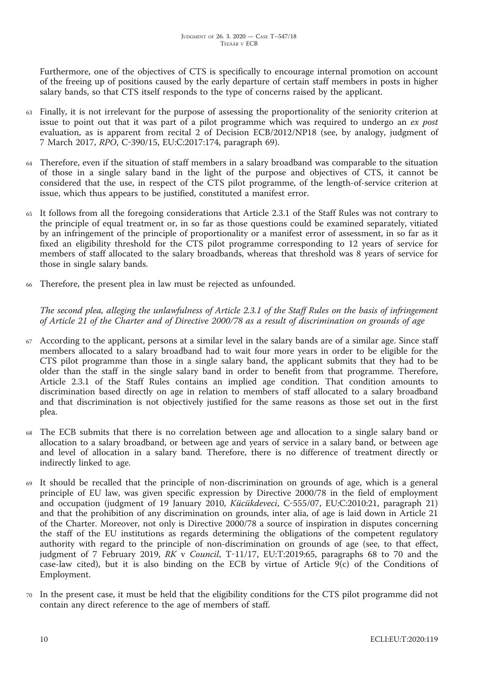Furthermore, one of the objectives of CTS is specifically to encourage internal promotion on account of the freeing up of positions caused by the early departure of certain staff members in posts in higher salary bands, so that CTS itself responds to the type of concerns raised by the applicant.

- <sup>63</sup> Finally, it is not irrelevant for the purpose of assessing the proportionality of the seniority criterion at issue to point out that it was part of a pilot programme which was required to undergo an *ex post* evaluation, as is apparent from recital 2 of Decision ECB/2012/NP18 (see, by analogy, judgment of 7 March 2017, *RPO*, C-390/15, EU:C:2017:174, paragraph 69).
- <sup>64</sup> Therefore, even if the situation of staff members in a salary broadband was comparable to the situation of those in a single salary band in the light of the purpose and objectives of CTS, it cannot be considered that the use, in respect of the CTS pilot programme, of the length-of-service criterion at issue, which thus appears to be justified, constituted a manifest error.
- <sup>65</sup> It follows from all the foregoing considerations that Article 2.3.1 of the Staff Rules was not contrary to the principle of equal treatment or, in so far as those questions could be examined separately, vitiated by an infringement of the principle of proportionality or a manifest error of assessment, in so far as it fixed an eligibility threshold for the CTS pilot programme corresponding to 12 years of service for members of staff allocated to the salary broadbands, whereas that threshold was 8 years of service for those in single salary bands.
- <sup>66</sup> Therefore, the present plea in law must be rejected as unfounded.

The second plea, alleging the unlawfulness of Article 2.3.1 of the Staff Rules on the basis of infringement of Article 21 of the Charter and of Directive 2000/78 as a result of discrimination on grounds of age

- <sup>67</sup> According to the applicant, persons at a similar level in the salary bands are of a similar age. Since staff members allocated to a salary broadband had to wait four more years in order to be eligible for the CTS pilot programme than those in a single salary band, the applicant submits that they had to be older than the staff in the single salary band in order to benefit from that programme. Therefore, Article 2.3.1 of the Staff Rules contains an implied age condition. That condition amounts to discrimination based directly on age in relation to members of staff allocated to a salary broadband and that discrimination is not objectively justified for the same reasons as those set out in the first plea.
- <sup>68</sup> The ECB submits that there is no correlation between age and allocation to a single salary band or allocation to a salary broadband, or between age and years of service in a salary band, or between age and level of allocation in a salary band. Therefore, there is no difference of treatment directly or indirectly linked to age.
- <sup>69</sup> It should be recalled that the principle of non-discrimination on grounds of age, which is a general principle of EU law, was given specific expression by Directive 2000/78 in the field of employment and occupation (judgment of 19 January 2010, *Kücükdeveci*, C-555/07, EU:C:2010:21, paragraph 21) and that the prohibition of any discrimination on grounds, inter alia, of age is laid down in Article 21 of the Charter. Moreover, not only is Directive 2000/78 a source of inspiration in disputes concerning the staff of the EU institutions as regards determining the obligations of the competent regulatory authority with regard to the principle of non-discrimination on grounds of age (see, to that effect, judgment of 7 February 2019, *RK* v *Council*, T-11/17, EU:T:2019:65, paragraphs 68 to 70 and the case-law cited), but it is also binding on the ECB by virtue of Article 9(c) of the Conditions of Employment.
- <sup>70</sup> In the present case, it must be held that the eligibility conditions for the CTS pilot programme did not contain any direct reference to the age of members of staff.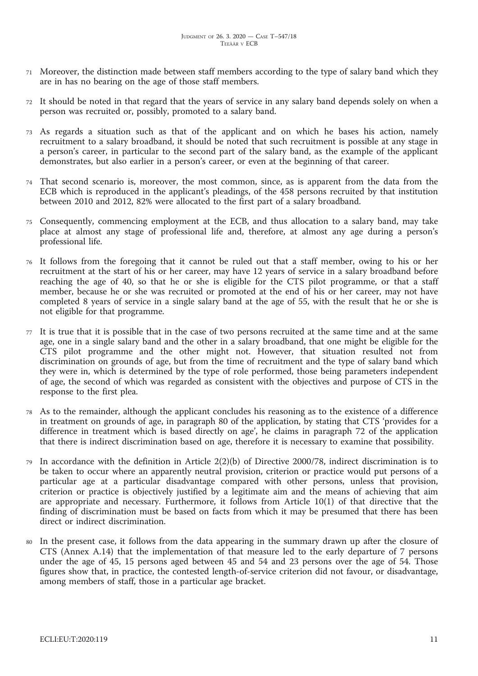- <sup>71</sup> Moreover, the distinction made between staff members according to the type of salary band which they are in has no bearing on the age of those staff members.
- <sup>72</sup> It should be noted in that regard that the years of service in any salary band depends solely on when a person was recruited or, possibly, promoted to a salary band.
- <sup>73</sup> As regards a situation such as that of the applicant and on which he bases his action, namely recruitment to a salary broadband, it should be noted that such recruitment is possible at any stage in a person's career, in particular to the second part of the salary band, as the example of the applicant demonstrates, but also earlier in a person's career, or even at the beginning of that career.
- <sup>74</sup> That second scenario is, moreover, the most common, since, as is apparent from the data from the ECB which is reproduced in the applicant's pleadings, of the 458 persons recruited by that institution between 2010 and 2012, 82% were allocated to the first part of a salary broadband.
- <sup>75</sup> Consequently, commencing employment at the ECB, and thus allocation to a salary band, may take place at almost any stage of professional life and, therefore, at almost any age during a person's professional life.
- <sup>76</sup> It follows from the foregoing that it cannot be ruled out that a staff member, owing to his or her recruitment at the start of his or her career, may have 12 years of service in a salary broadband before reaching the age of 40, so that he or she is eligible for the CTS pilot programme, or that a staff member, because he or she was recruited or promoted at the end of his or her career, may not have completed 8 years of service in a single salary band at the age of 55, with the result that he or she is not eligible for that programme.
- <sup>77</sup> It is true that it is possible that in the case of two persons recruited at the same time and at the same age, one in a single salary band and the other in a salary broadband, that one might be eligible for the CTS pilot programme and the other might not. However, that situation resulted not from discrimination on grounds of age, but from the time of recruitment and the type of salary band which they were in, which is determined by the type of role performed, those being parameters independent of age, the second of which was regarded as consistent with the objectives and purpose of CTS in the response to the first plea.
- <sup>78</sup> As to the remainder, although the applicant concludes his reasoning as to the existence of a difference in treatment on grounds of age, in paragraph 80 of the application, by stating that CTS 'provides for a difference in treatment which is based directly on age', he claims in paragraph 72 of the application that there is indirect discrimination based on age, therefore it is necessary to examine that possibility.
- In accordance with the definition in Article  $2(2)(b)$  of Directive 2000/78, indirect discrimination is to be taken to occur where an apparently neutral provision, criterion or practice would put persons of a particular age at a particular disadvantage compared with other persons, unless that provision, criterion or practice is objectively justified by a legitimate aim and the means of achieving that aim are appropriate and necessary. Furthermore, it follows from Article 10(1) of that directive that the finding of discrimination must be based on facts from which it may be presumed that there has been direct or indirect discrimination.
- <sup>80</sup> In the present case, it follows from the data appearing in the summary drawn up after the closure of CTS (Annex A.14) that the implementation of that measure led to the early departure of 7 persons under the age of 45, 15 persons aged between 45 and 54 and 23 persons over the age of 54. Those figures show that, in practice, the contested length-of-service criterion did not favour, or disadvantage, among members of staff, those in a particular age bracket.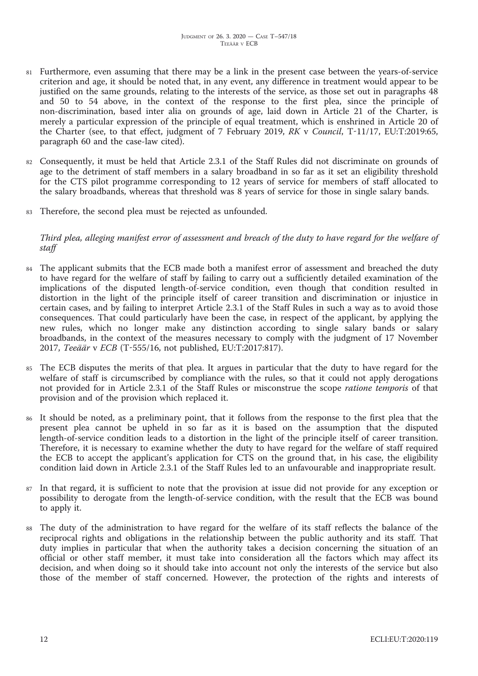- <sup>81</sup> Furthermore, even assuming that there may be a link in the present case between the years-of-service criterion and age, it should be noted that, in any event, any difference in treatment would appear to be justified on the same grounds, relating to the interests of the service, as those set out in paragraphs 48 and 50 to 54 above, in the context of the response to the first plea, since the principle of non-discrimination, based inter alia on grounds of age, laid down in Article 21 of the Charter, is merely a particular expression of the principle of equal treatment, which is enshrined in Article 20 of the Charter (see, to that effect, judgment of 7 February 2019, *RK* v *Council*, T-11/17, EU:T:2019:65, paragraph 60 and the case-law cited).
- <sup>82</sup> Consequently, it must be held that Article 2.3.1 of the Staff Rules did not discriminate on grounds of age to the detriment of staff members in a salary broadband in so far as it set an eligibility threshold for the CTS pilot programme corresponding to 12 years of service for members of staff allocated to the salary broadbands, whereas that threshold was 8 years of service for those in single salary bands.
- Therefore, the second plea must be rejected as unfounded.

Third plea, alleging manifest error of assessment and breach of the duty to have regard for the welfare of *staff*

- 84 The applicant submits that the ECB made both a manifest error of assessment and breached the duty to have regard for the welfare of staff by failing to carry out a sufficiently detailed examination of the implications of the disputed length-of-service condition, even though that condition resulted in distortion in the light of the principle itself of career transition and discrimination or injustice in certain cases, and by failing to interpret Article 2.3.1 of the Staff Rules in such a way as to avoid those consequences. That could particularly have been the case, in respect of the applicant, by applying the new rules, which no longer make any distinction according to single salary bands or salary broadbands, in the context of the measures necessary to comply with the judgment of 17 November 2017, *Teeäär* v *ECB* (T-555/16, not published, EU:T:2017:817).
- <sup>85</sup> The ECB disputes the merits of that plea. It argues in particular that the duty to have regard for the welfare of staff is circumscribed by compliance with the rules, so that it could not apply derogations not provided for in Article 2.3.1 of the Staff Rules or misconstrue the scope *ratione temporis* of that provision and of the provision which replaced it.
- <sup>86</sup> It should be noted, as a preliminary point, that it follows from the response to the first plea that the present plea cannot be upheld in so far as it is based on the assumption that the disputed length-of-service condition leads to a distortion in the light of the principle itself of career transition. Therefore, it is necessary to examine whether the duty to have regard for the welfare of staff required the ECB to accept the applicant's application for CTS on the ground that, in his case, the eligibility condition laid down in Article 2.3.1 of the Staff Rules led to an unfavourable and inappropriate result.
- <sup>87</sup> In that regard, it is sufficient to note that the provision at issue did not provide for any exception or possibility to derogate from the length-of-service condition, with the result that the ECB was bound to apply it.
- 88 The duty of the administration to have regard for the welfare of its staff reflects the balance of the reciprocal rights and obligations in the relationship between the public authority and its staff. That duty implies in particular that when the authority takes a decision concerning the situation of an official or other staff member, it must take into consideration all the factors which may affect its decision, and when doing so it should take into account not only the interests of the service but also those of the member of staff concerned. However, the protection of the rights and interests of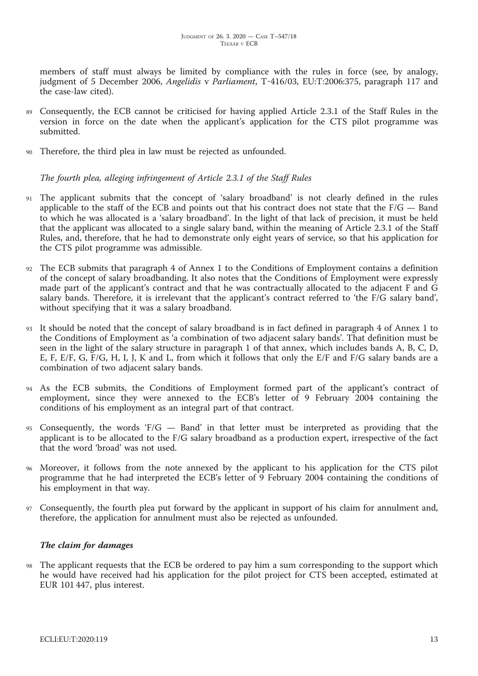members of staff must always be limited by compliance with the rules in force (see, by analogy, judgment of 5 December 2006, *Angelidis* v *Parliament*, T-416/03, EU:T:2006:375, paragraph 117 and the case-law cited).

- <sup>89</sup> Consequently, the ECB cannot be criticised for having applied Article 2.3.1 of the Staff Rules in the version in force on the date when the applicant's application for the CTS pilot programme was submitted.
- <sup>90</sup> Therefore, the third plea in law must be rejected as unfounded.

*The fourth plea, alleging infringement of Article 2.3.1 of the Staff Rules*

- <sup>91</sup> The applicant submits that the concept of 'salary broadband' is not clearly defined in the rules applicable to the staff of the ECB and points out that his contract does not state that the  $F/G$  — Band to which he was allocated is a 'salary broadband'. In the light of that lack of precision, it must be held that the applicant was allocated to a single salary band, within the meaning of Article 2.3.1 of the Staff Rules, and, therefore, that he had to demonstrate only eight years of service, so that his application for the CTS pilot programme was admissible.
- The ECB submits that paragraph 4 of Annex 1 to the Conditions of Employment contains a definition of the concept of salary broadbanding. It also notes that the Conditions of Employment were expressly made part of the applicant's contract and that he was contractually allocated to the adjacent F and G salary bands. Therefore, it is irrelevant that the applicant's contract referred to 'the F/G salary band', without specifying that it was a salary broadband.
- <sup>93</sup> It should be noted that the concept of salary broadband is in fact defined in paragraph 4 of Annex 1 to the Conditions of Employment as 'a combination of two adjacent salary bands'. That definition must be seen in the light of the salary structure in paragraph 1 of that annex, which includes bands A, B, C, D, E, F, E/F, G, F/G, H, I, J, K and L, from which it follows that only the E/F and F/G salary bands are a combination of two adjacent salary bands.
- <sup>94</sup> As the ECB submits, the Conditions of Employment formed part of the applicant's contract of employment, since they were annexed to the ECB's letter of 9 February 2004 containing the conditions of his employment as an integral part of that contract.
- <sup>95</sup> Consequently, the words 'F/G Band' in that letter must be interpreted as providing that the applicant is to be allocated to the F/G salary broadband as a production expert, irrespective of the fact that the word 'broad' was not used.
- <sup>96</sup> Moreover, it follows from the note annexed by the applicant to his application for the CTS pilot programme that he had interpreted the ECB's letter of 9 February 2004 containing the conditions of his employment in that way.
- <sup>97</sup> Consequently, the fourth plea put forward by the applicant in support of his claim for annulment and, therefore, the application for annulment must also be rejected as unfounded.

## *The claim for damages*

The applicant requests that the ECB be ordered to pay him a sum corresponding to the support which he would have received had his application for the pilot project for CTS been accepted, estimated at EUR 101 447, plus interest.